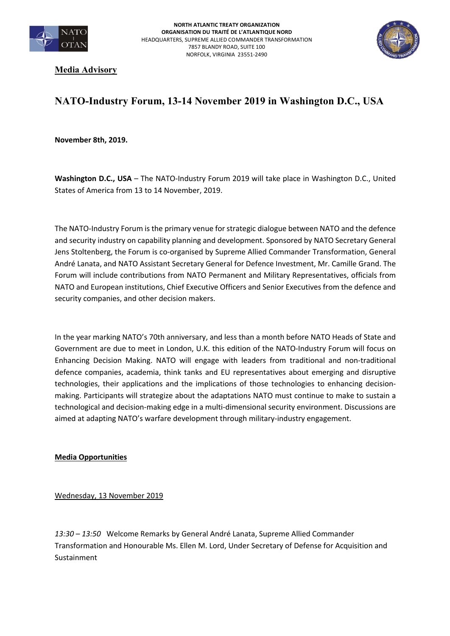



**Media Advisory** 

## **NATO-Industry Forum, 13-14 November 2019 in Washington D.C., USA**

**November 8th, 2019.**

Washington D.C., USA - The NATO-Industry Forum 2019 will take place in Washington D.C., United States of America from 13 to 14 November, 2019.

The NATO-Industry Forum is the primary venue for strategic dialogue between NATO and the defence and security industry on capability planning and development. Sponsored by NATO Secretary General Jens Stoltenberg, the Forum is co-organised by Supreme Allied Commander Transformation, General André Lanata, and NATO Assistant Secretary General for Defence Investment, Mr. Camille Grand. The Forum will include contributions from NATO Permanent and Military Representatives, officials from NATO and European institutions, Chief Executive Officers and Senior Executives from the defence and security companies, and other decision makers.

In the year marking NATO's 70th anniversary, and less than a month before NATO Heads of State and Government are due to meet in London, U.K. this edition of the NATO-Industry Forum will focus on Enhancing Decision Making. NATO will engage with leaders from traditional and non-traditional defence companies, academia, think tanks and EU representatives about emerging and disruptive technologies, their applications and the implications of those technologies to enhancing decisionmaking. Participants will strategize about the adaptations NATO must continue to make to sustain a technological and decision-making edge in a multi-dimensional security environment. Discussions are aimed at adapting NATO's warfare development through military-industry engagement.

**Media Opportunities** 

Wednesday, 13 November 2019

*13:30 – 13:50* Welcome Remarks by General André Lanata, Supreme Allied Commander Transformation and Honourable Ms. Ellen M. Lord, Under Secretary of Defense for Acquisition and Sustainment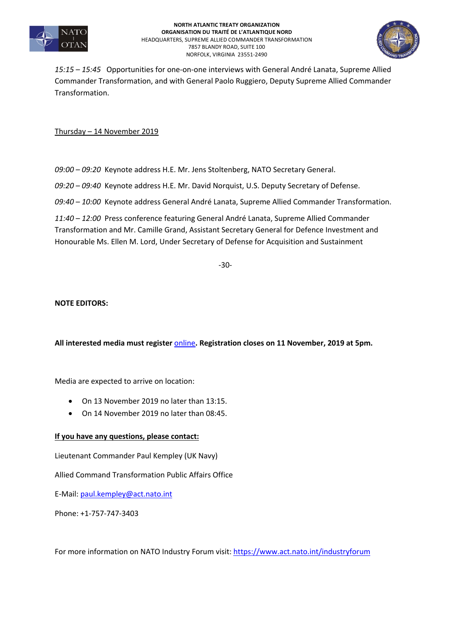

**NORTH ATLANTIC TREATY ORGANIZATION ORGANISATION DU TRAITÉ DE L'ATLANTIQUE NORD** HEADQUARTERS, SUPREME ALLIED COMMANDER TRANSFORMATION 7857 BLANDY ROAD, SUITE 100 NORFOLK, VIRGINIA 23551-2490



*15:15 – 15:45* Opportunities for one-on-one interviews with General André Lanata, Supreme Allied Commander Transformation, and with General Paolo Ruggiero, Deputy Supreme Allied Commander Transformation.

Thursday – 14 November 2019

*09:00 – 09:20* Keynote address H.E. Mr. Jens Stoltenberg, NATO Secretary General.

*09:20 – 09:40* Keynote address H.E. Mr. David Norquist, U.S. Deputy Secretary of Defense.

*09:40 – 10:00* Keynote address General André Lanata, Supreme Allied Commander Transformation.

*11:40 – 12:00* Press conference featuring General André Lanata, Supreme Allied Commander Transformation and Mr. Camille Grand, Assistant Secretary General for Defence Investment and Honourable Ms. Ellen M. Lord, Under Secretary of Defense for Acquisition and Sustainment

-30-

## **NOTE EDITORS:**

**All interested media must register** online**. Registration closes on 11 November, 2019 at 5pm.** 

Media are expected to arrive on location:

- On 13 November 2019 no later than 13:15.
- On 14 November 2019 no later than 08:45.

## **If you have any questions, please contact:**

Lieutenant Commander Paul Kempley (UK Navy)

Allied Command Transformation Public Affairs Office

E-Mail: paul.kempley@act.nato.int

Phone: +1-757-747-3403

For more information on NATO Industry Forum visit: https://www.act.nato.int/industryforum